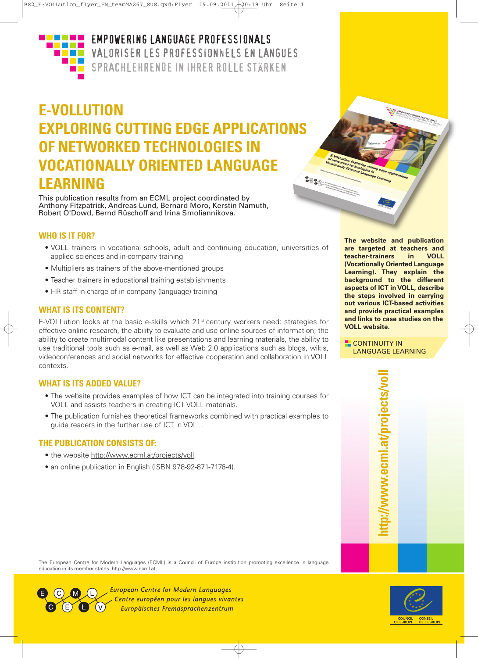

### **EMPOWERING LANGUAGE PROFESSIONALS** VALORISER LES PROFESSIONNELS EN LANGUES SPRACHLEHRENDE IN IHRER ROLLE STÄRKEN

## **E-VOLLUTION EXPLORING CUTTING EDGE APPLICATIONS OF NETWORKED TECHNOLOGIES IN VOCATIONALLY ORIENTED LANGUAGE Company Company Company Company Company LEARNING**

This publication results from an ECML project coordinated by Anthony Fitzpatrick, Andreas Lund, Bernard Moro, Kerstin Namuth, Robert O'Dowd, Bernd Rüschoff and Irina Smoliannikova.

### **WHO IS IT FOR?**

- VOLL trainers in vocational schools, adult and continuing education, universities of applied sciences and in-company training
- Multipliers as trainers of the above-mentioned groups
- Teacher trainers in educational training establishments
- HR staff in charge of in-company (language) training

### **WHAT IS ITS CONTENT?**

E-VOLLution looks at the basic e-skills which 21st century workers need: strategies for effective online research, the ability to evaluate and use online sources of information; the ability to create multimodal content like presentations and learning materials, the ability to use traditional tools such as e-mail, as well as Web 2.0 applications such as blogs, wikis, videoconferences and social networks for effective cooperation and collaboration in VOLL contexts.

### **WHAT IS ITS ADDED VALUE?**

- The website provides examples of how ICT can be integrated into training courses for VOLL and assists teachers in creating ICT VOLL materials.
- The publication furnishes theoretical frameworks combined with practical examples to guide readers in the further use of ICT in VOLL.

### **THE PUBLICATION CONSISTS OF:**

- the website http://www.ecml.at/projects/voll;
- an online publication in English (ISBN 978-92-871-7176-4).

**The website and publication are targeted at teachers and teacher-trainers in VOLL (Vocationally Oriented Language Learning). They explain the background to the different aspects of ICT in VOLL, describe the steps involved in carrying out various ICT-based activities and provide practical examples and links to case studies on the VOLL website.**

**E.** CONTINUITY IN LANGUAGE LEARNING

> **htt p://w w w.e** <u>ب</u> **ml.a t/ p r oje** <u>ب</u> **t s/v oll**

The European Centre for Modern Languages (ECML) is a Council of Europe institution promoting excellence in language education in its member states. http://www.ecml.at



**European Centre for Modern Languages** Centre européen pour les langues vivantes Europäisches Fremdsprachenzentrum